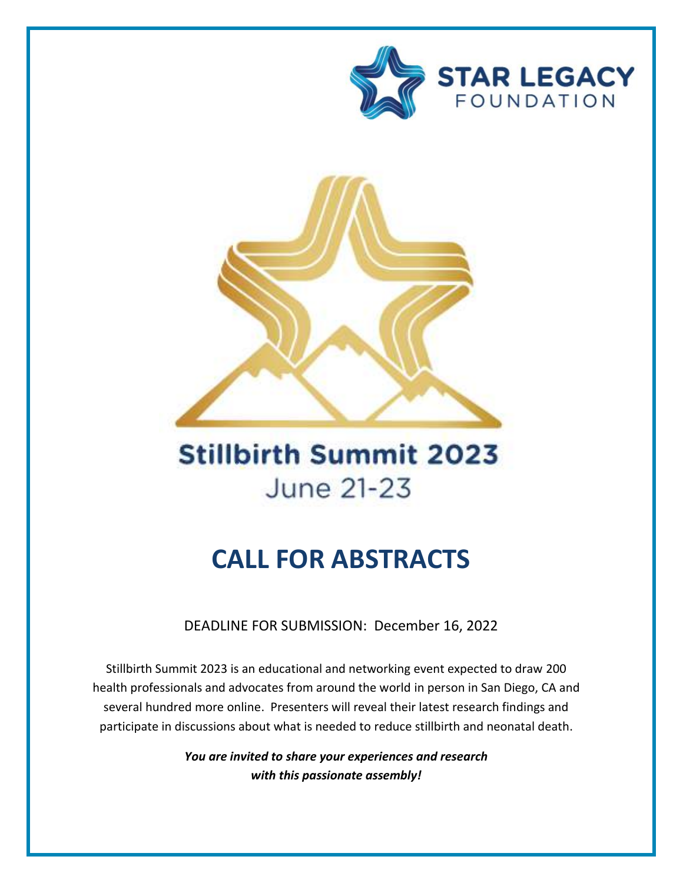



# **Stillbirth Summit 2023** June 21-23

## **CALL FOR ABSTRACTS**

DEADLINE FOR SUBMISSION: December 16, 2022

Stillbirth Summit 2023 is an educational and networking event expected to draw 200 health professionals and advocates from around the world in person in San Diego, CA and several hundred more online. Presenters will reveal their latest research findings and participate in discussions about what is needed to reduce stillbirth and neonatal death.

> *You are invited to share your experiences and research with this passionate assembly!*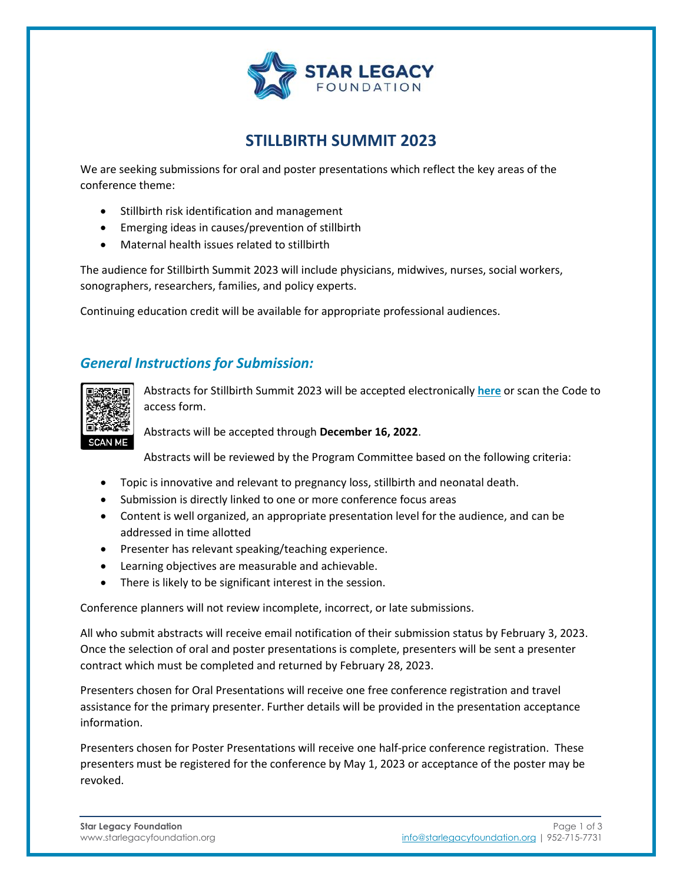

### **STILLBIRTH SUMMIT 2023**

We are seeking submissions for oral and poster presentations which reflect the key areas of the conference theme:

- Stillbirth risk identification and management
- Emerging ideas in causes/prevention of stillbirth
- Maternal health issues related to stillbirth

The audience for Stillbirth Summit 2023 will include physicians, midwives, nurses, social workers, sonographers, researchers, families, and policy experts.

Continuing education credit will be available for appropriate professional audiences.

#### *General Instructions for Submission:*



Abstracts for Stillbirth Summit 2023 will be accepted electronically **[here](https://docs.google.com/forms/d/e/1FAIpQLSfc_KfBZ7P-edd_A5j8ESPTpZ7m-RFd7Nqk5me2TRshds76iQ/viewform?usp=sf_link)** or scan the Code to access form.

Abstracts will be accepted through **December 16, 2022**.

Abstracts will be reviewed by the Program Committee based on the following criteria:

- Topic is innovative and relevant to pregnancy loss, stillbirth and neonatal death.
- Submission is directly linked to one or more conference focus areas
- Content is well organized, an appropriate presentation level for the audience, and can be addressed in time allotted
- Presenter has relevant speaking/teaching experience.
- Learning objectives are measurable and achievable.
- There is likely to be significant interest in the session.

Conference planners will not review incomplete, incorrect, or late submissions.

All who submit abstracts will receive email notification of their submission status by February 3, 2023. Once the selection of oral and poster presentations is complete, presenters will be sent a presenter contract which must be completed and returned by February 28, 2023.

Presenters chosen for Oral Presentations will receive one free conference registration and travel assistance for the primary presenter. Further details will be provided in the presentation acceptance information.

Presenters chosen for Poster Presentations will receive one half-price conference registration. These presenters must be registered for the conference by May 1, 2023 or acceptance of the poster may be revoked.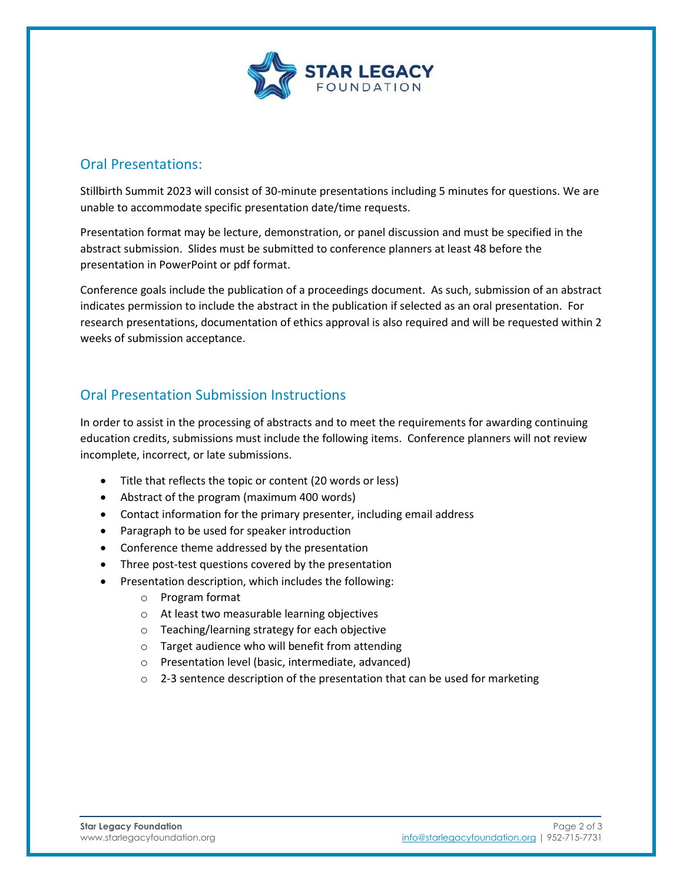

#### Oral Presentations:

Stillbirth Summit 2023 will consist of 30-minute presentations including 5 minutes for questions. We are unable to accommodate specific presentation date/time requests.

Presentation format may be lecture, demonstration, or panel discussion and must be specified in the abstract submission. Slides must be submitted to conference planners at least 48 before the presentation in PowerPoint or pdf format.

Conference goals include the publication of a proceedings document. As such, submission of an abstract indicates permission to include the abstract in the publication if selected as an oral presentation. For research presentations, documentation of ethics approval is also required and will be requested within 2 weeks of submission acceptance.

#### Oral Presentation Submission Instructions

In order to assist in the processing of abstracts and to meet the requirements for awarding continuing education credits, submissions must include the following items. Conference planners will not review incomplete, incorrect, or late submissions.

- Title that reflects the topic or content (20 words or less)
- Abstract of the program (maximum 400 words)
- Contact information for the primary presenter, including email address
- Paragraph to be used for speaker introduction
- Conference theme addressed by the presentation
- Three post-test questions covered by the presentation
- Presentation description, which includes the following:
	- o Program format
	- o At least two measurable learning objectives
	- o Teaching/learning strategy for each objective
	- o Target audience who will benefit from attending
	- o Presentation level (basic, intermediate, advanced)
	- $\circ$  2-3 sentence description of the presentation that can be used for marketing